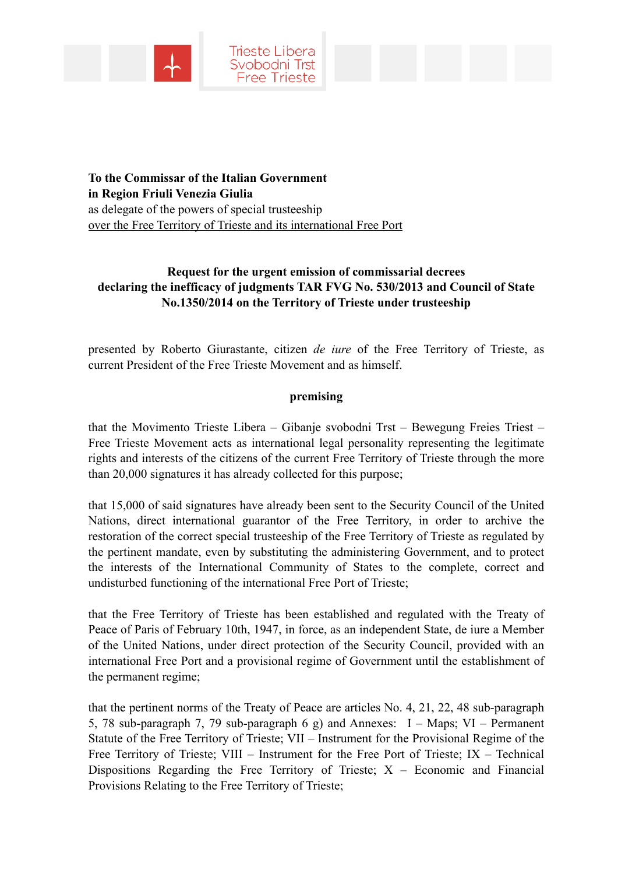

**To the Commissar of the Italian Government in Region Friuli Venezia Giulia**  as delegate of the powers of special trusteeship over the Free Territory of Trieste and its international Free Port

# **Request for the urgent emission of commissarial decrees declaring the inefficacy of judgments TAR FVG No. 530/2013 and Council of State No.1350/2014 on the Territory of Trieste under trusteeship**

presented by Roberto Giurastante, citizen *de iure* of the Free Territory of Trieste, as current President of the Free Trieste Movement and as himself.

# **premising**

that the Movimento Trieste Libera – Gibanje svobodni Trst – Bewegung Freies Triest – Free Trieste Movement acts as international legal personality representing the legitimate rights and interests of the citizens of the current Free Territory of Trieste through the more than 20,000 signatures it has already collected for this purpose;

that 15,000 of said signatures have already been sent to the Security Council of the United Nations, direct international guarantor of the Free Territory, in order to archive the restoration of the correct special trusteeship of the Free Territory of Trieste as regulated by the pertinent mandate, even by substituting the administering Government, and to protect the interests of the International Community of States to the complete, correct and undisturbed functioning of the international Free Port of Trieste;

that the Free Territory of Trieste has been established and regulated with the Treaty of Peace of Paris of February 10th, 1947, in force, as an independent State, de iure a Member of the United Nations, under direct protection of the Security Council, provided with an international Free Port and a provisional regime of Government until the establishment of the permanent regime;

that the pertinent norms of the Treaty of Peace are articles No. 4, 21, 22, 48 sub-paragraph 5, 78 sub-paragraph 7, 79 sub-paragraph 6 g) and Annexes: I – Maps; VI – Permanent Statute of the Free Territory of Trieste; VII – Instrument for the Provisional Regime of the Free Territory of Trieste; VIII – Instrument for the Free Port of Trieste; IX – Technical Dispositions Regarding the Free Territory of Trieste;  $X$  – Economic and Financial Provisions Relating to the Free Territory of Trieste;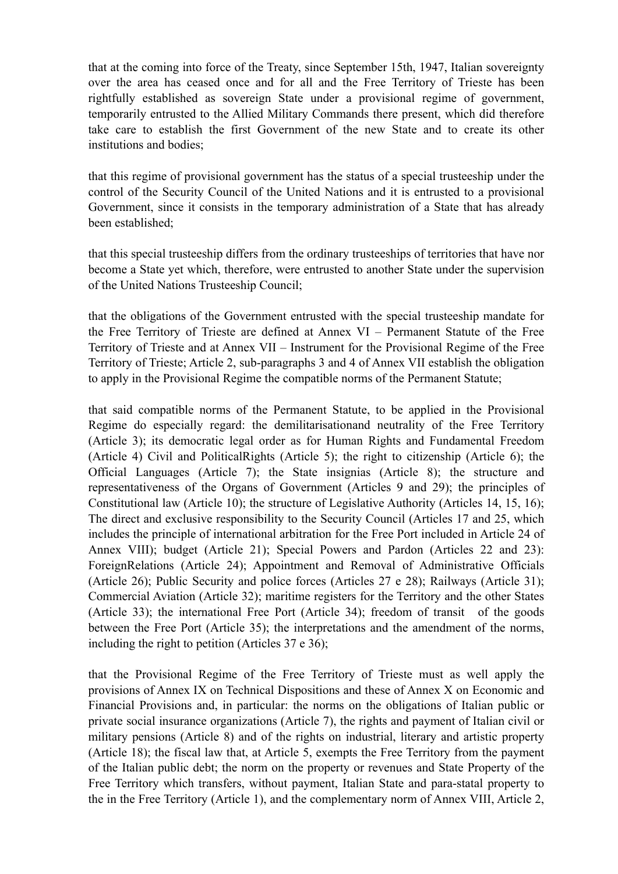that at the coming into force of the Treaty, since September 15th, 1947, Italian sovereignty over the area has ceased once and for all and the Free Territory of Trieste has been rightfully established as sovereign State under a provisional regime of government, temporarily entrusted to the Allied Military Commands there present, which did therefore take care to establish the first Government of the new State and to create its other institutions and bodies;

that this regime of provisional government has the status of a special trusteeship under the control of the Security Council of the United Nations and it is entrusted to a provisional Government, since it consists in the temporary administration of a State that has already been established;

that this special trusteeship differs from the ordinary trusteeships of territories that have nor become a State yet which, therefore, were entrusted to another State under the supervision of the United Nations Trusteeship Council;

that the obligations of the Government entrusted with the special trusteeship mandate for the Free Territory of Trieste are defined at Annex VI – Permanent Statute of the Free Territory of Trieste and at Annex VII – Instrument for the Provisional Regime of the Free Territory of Trieste; Article 2, sub-paragraphs 3 and 4 of Annex VII establish the obligation to apply in the Provisional Regime the compatible norms of the Permanent Statute;

that said compatible norms of the Permanent Statute, to be applied in the Provisional Regime do especially regard: the demilitarisationand neutrality of the Free Territory (Article 3); its democratic legal order as for Human Rights and Fundamental Freedom (Article 4) Civil and PoliticalRights (Article 5); the right to citizenship (Article 6); the Official Languages (Article 7); the State insignias (Article 8); the structure and representativeness of the Organs of Government (Articles 9 and 29); the principles of Constitutional law (Article 10); the structure of Legislative Authority (Articles 14, 15, 16); The direct and exclusive responsibility to the Security Council (Articles 17 and 25, which includes the principle of international arbitration for the Free Port included in Article 24 of Annex VIII); budget (Article 21); Special Powers and Pardon (Articles 22 and 23): ForeignRelations (Article 24); Appointment and Removal of Administrative Officials (Article 26); Public Security and police forces (Articles 27 e 28); Railways (Article 31); Commercial Aviation (Article 32); maritime registers for the Territory and the other States (Article 33); the international Free Port (Article 34); freedom of transit of the goods between the Free Port (Article 35); the interpretations and the amendment of the norms, including the right to petition (Articles 37 e 36);

that the Provisional Regime of the Free Territory of Trieste must as well apply the provisions of Annex IX on Technical Dispositions and these of Annex X on Economic and Financial Provisions and, in particular: the norms on the obligations of Italian public or private social insurance organizations (Article 7), the rights and payment of Italian civil or military pensions (Article 8) and of the rights on industrial, literary and artistic property (Article 18); the fiscal law that, at Article 5, exempts the Free Territory from the payment of the Italian public debt; the norm on the property or revenues and State Property of the Free Territory which transfers, without payment, Italian State and para-statal property to the in the Free Territory (Article 1), and the complementary norm of Annex VIII, Article 2,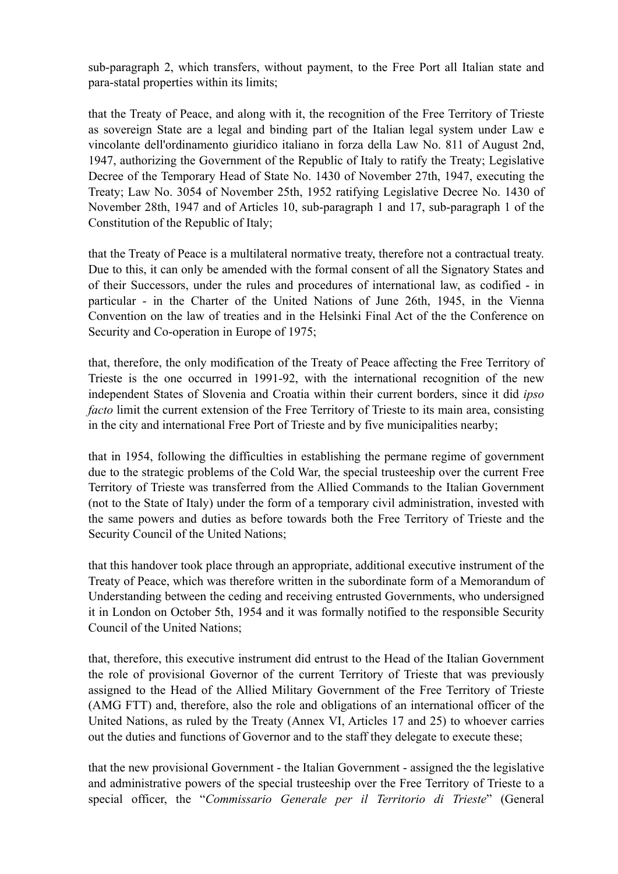sub-paragraph 2, which transfers, without payment, to the Free Port all Italian state and para-statal properties within its limits;

that the Treaty of Peace, and along with it, the recognition of the Free Territory of Trieste as sovereign State are a legal and binding part of the Italian legal system under Law e vincolante dell'ordinamento giuridico italiano in forza della Law No. 811 of August 2nd, 1947, authorizing the Government of the Republic of Italy to ratify the Treaty; Legislative Decree of the Temporary Head of State No. 1430 of November 27th, 1947, executing the Treaty; Law No. 3054 of November 25th, 1952 ratifying Legislative Decree No. 1430 of November 28th, 1947 and of Articles 10, sub-paragraph 1 and 17, sub-paragraph 1 of the Constitution of the Republic of Italy;

that the Treaty of Peace is a multilateral normative treaty, therefore not a contractual treaty. Due to this, it can only be amended with the formal consent of all the Signatory States and of their Successors, under the rules and procedures of international law, as codified - in particular - in the Charter of the United Nations of June 26th, 1945, in the Vienna Convention on the law of treaties and in the Helsinki Final Act of the the Conference on Security and Co-operation in Europe of 1975;

that, therefore, the only modification of the Treaty of Peace affecting the Free Territory of Trieste is the one occurred in 1991-92, with the international recognition of the new independent States of Slovenia and Croatia within their current borders, since it did *ipso facto* limit the current extension of the Free Territory of Trieste to its main area, consisting in the city and international Free Port of Trieste and by five municipalities nearby;

that in 1954, following the difficulties in establishing the permane regime of government due to the strategic problems of the Cold War, the special trusteeship over the current Free Territory of Trieste was transferred from the Allied Commands to the Italian Government (not to the State of Italy) under the form of a temporary civil administration, invested with the same powers and duties as before towards both the Free Territory of Trieste and the Security Council of the United Nations;

that this handover took place through an appropriate, additional executive instrument of the Treaty of Peace, which was therefore written in the subordinate form of a Memorandum of Understanding between the ceding and receiving entrusted Governments, who undersigned it in London on October 5th, 1954 and it was formally notified to the responsible Security Council of the United Nations;

that, therefore, this executive instrument did entrust to the Head of the Italian Government the role of provisional Governor of the current Territory of Trieste that was previously assigned to the Head of the Allied Military Government of the Free Territory of Trieste (AMG FTT) and, therefore, also the role and obligations of an international officer of the United Nations, as ruled by the Treaty (Annex VI, Articles 17 and 25) to whoever carries out the duties and functions of Governor and to the staff they delegate to execute these;

that the new provisional Government - the Italian Government - assigned the the legislative and administrative powers of the special trusteeship over the Free Territory of Trieste to a special officer, the "*Commissario Generale per il Territorio di Trieste*" (General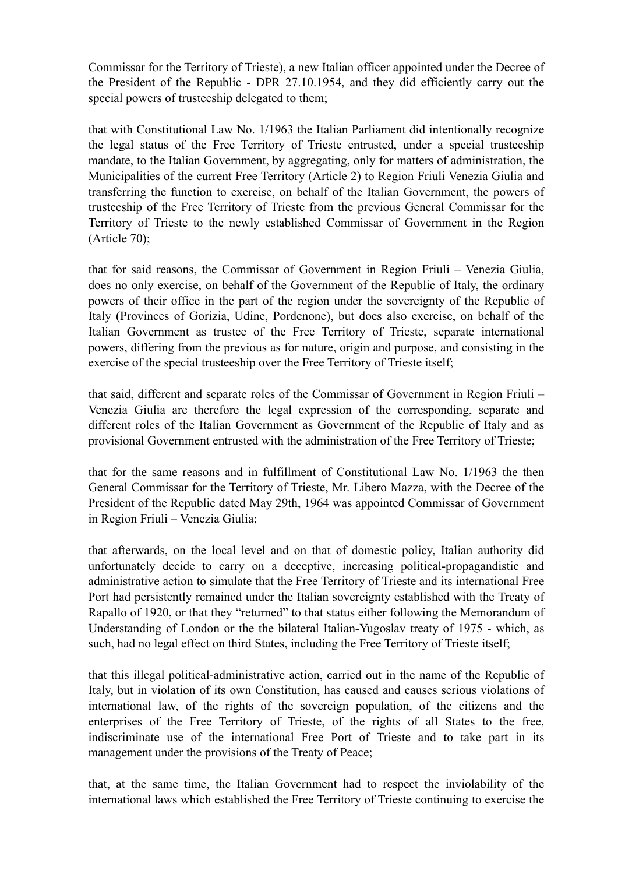Commissar for the Territory of Trieste), a new Italian officer appointed under the Decree of the President of the Republic - DPR 27.10.1954, and they did efficiently carry out the special powers of trusteeship delegated to them;

that with Constitutional Law No. 1/1963 the Italian Parliament did intentionally recognize the legal status of the Free Territory of Trieste entrusted, under a special trusteeship mandate, to the Italian Government, by aggregating, only for matters of administration, the Municipalities of the current Free Territory (Article 2) to Region Friuli Venezia Giulia and transferring the function to exercise, on behalf of the Italian Government, the powers of trusteeship of the Free Territory of Trieste from the previous General Commissar for the Territory of Trieste to the newly established Commissar of Government in the Region (Article 70);

that for said reasons, the Commissar of Government in Region Friuli – Venezia Giulia, does no only exercise, on behalf of the Government of the Republic of Italy, the ordinary powers of their office in the part of the region under the sovereignty of the Republic of Italy (Provinces of Gorizia, Udine, Pordenone), but does also exercise, on behalf of the Italian Government as trustee of the Free Territory of Trieste, separate international powers, differing from the previous as for nature, origin and purpose, and consisting in the exercise of the special trusteeship over the Free Territory of Trieste itself;

that said, different and separate roles of the Commissar of Government in Region Friuli – Venezia Giulia are therefore the legal expression of the corresponding, separate and different roles of the Italian Government as Government of the Republic of Italy and as provisional Government entrusted with the administration of the Free Territory of Trieste;

that for the same reasons and in fulfillment of Constitutional Law No. 1/1963 the then General Commissar for the Territory of Trieste, Mr. Libero Mazza, with the Decree of the President of the Republic dated May 29th, 1964 was appointed Commissar of Government in Region Friuli – Venezia Giulia;

that afterwards, on the local level and on that of domestic policy, Italian authority did unfortunately decide to carry on a deceptive, increasing political-propagandistic and administrative action to simulate that the Free Territory of Trieste and its international Free Port had persistently remained under the Italian sovereignty established with the Treaty of Rapallo of 1920, or that they "returned" to that status either following the Memorandum of Understanding of London or the the bilateral Italian-Yugoslav treaty of 1975 - which, as such, had no legal effect on third States, including the Free Territory of Trieste itself;

that this illegal political-administrative action, carried out in the name of the Republic of Italy, but in violation of its own Constitution, has caused and causes serious violations of international law, of the rights of the sovereign population, of the citizens and the enterprises of the Free Territory of Trieste, of the rights of all States to the free, indiscriminate use of the international Free Port of Trieste and to take part in its management under the provisions of the Treaty of Peace;

that, at the same time, the Italian Government had to respect the inviolability of the international laws which established the Free Territory of Trieste continuing to exercise the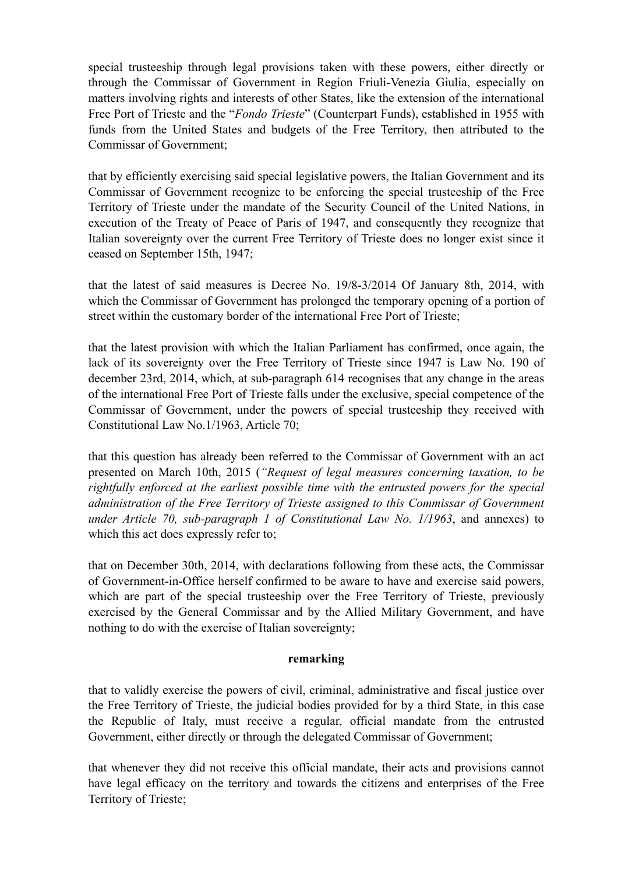special trusteeship through legal provisions taken with these powers, either directly or through the Commissar of Government in Region Friuli-Venezia Giulia, especially on matters involving rights and interests of other States, like the extension of the international Free Port of Trieste and the "*Fondo Trieste*" (Counterpart Funds), established in 1955 with funds from the United States and budgets of the Free Territory, then attributed to the Commissar of Government;

that by efficiently exercising said special legislative powers, the Italian Government and its Commissar of Government recognize to be enforcing the special trusteeship of the Free Territory of Trieste under the mandate of the Security Council of the United Nations, in execution of the Treaty of Peace of Paris of 1947, and consequently they recognize that Italian sovereignty over the current Free Territory of Trieste does no longer exist since it ceased on September 15th, 1947;

that the latest of said measures is Decree No. 19/8-3/2014 Of January 8th, 2014, with which the Commissar of Government has prolonged the temporary opening of a portion of street within the customary border of the international Free Port of Trieste;

that the latest provision with which the Italian Parliament has confirmed, once again, the lack of its sovereignty over the Free Territory of Trieste since 1947 is Law No. 190 of december 23rd, 2014, which, at sub-paragraph 614 recognises that any change in the areas of the international Free Port of Trieste falls under the exclusive, special competence of the Commissar of Government, under the powers of special trusteeship they received with Constitutional Law No.1/1963, Article 70;

that this question has already been referred to the Commissar of Government with an act presented on March 10th, 2015 (*"Request of legal measures concerning taxation, to be rightfully enforced at the earliest possible time with the entrusted powers for the special administration of the Free Territory of Trieste assigned to this Commissar of Government under Article 70, sub-paragraph 1 of Constitutional Law No. 1/1963*, and annexes) to which this act does expressly refer to;

that on December 30th, 2014, with declarations following from these acts, the Commissar of Government-in-Office herself confirmed to be aware to have and exercise said powers, which are part of the special trusteeship over the Free Territory of Trieste, previously exercised by the General Commissar and by the Allied Military Government, and have nothing to do with the exercise of Italian sovereignty;

## **remarking**

that to validly exercise the powers of civil, criminal, administrative and fiscal justice over the Free Territory of Trieste, the judicial bodies provided for by a third State, in this case the Republic of Italy, must receive a regular, official mandate from the entrusted Government, either directly or through the delegated Commissar of Government;

that whenever they did not receive this official mandate, their acts and provisions cannot have legal efficacy on the territory and towards the citizens and enterprises of the Free Territory of Trieste;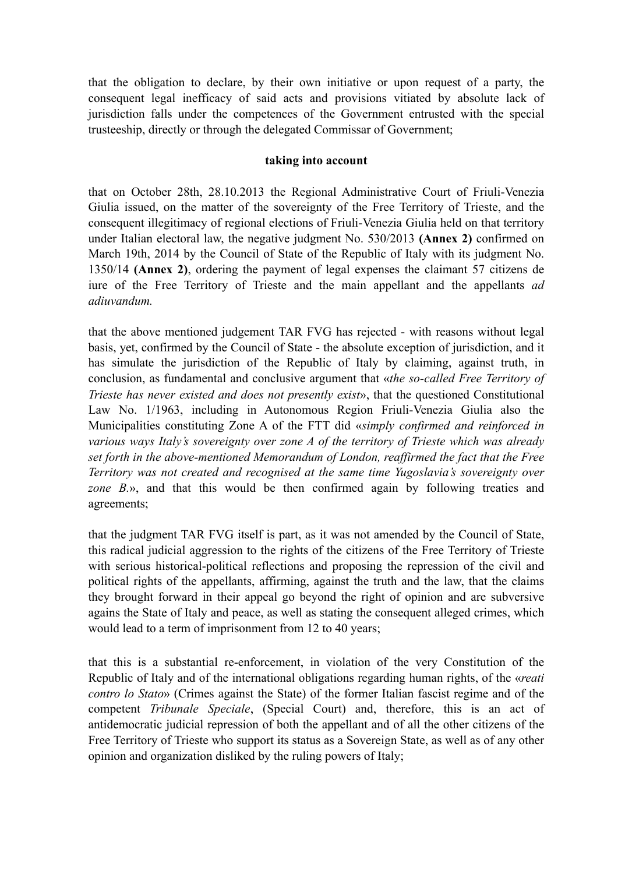that the obligation to declare, by their own initiative or upon request of a party, the consequent legal inefficacy of said acts and provisions vitiated by absolute lack of jurisdiction falls under the competences of the Government entrusted with the special trusteeship, directly or through the delegated Commissar of Government;

## **taking into account**

that on October 28th, 28.10.2013 the Regional Administrative Court of Friuli-Venezia Giulia issued, on the matter of the sovereignty of the Free Territory of Trieste, and the consequent illegitimacy of regional elections of Friuli-Venezia Giulia held on that territory under Italian electoral law, the negative judgment No. 530/2013 **(Annex 2)** confirmed on March 19th, 2014 by the Council of State of the Republic of Italy with its judgment No. 1350/14 **(Annex 2)**, ordering the payment of legal expenses the claimant 57 citizens de iure of the Free Territory of Trieste and the main appellant and the appellants *ad adiuvandum.*

that the above mentioned judgement TAR FVG has rejected - with reasons without legal basis, yet, confirmed by the Council of State - the absolute exception of jurisdiction, and it has simulate the jurisdiction of the Republic of Italy by claiming, against truth, in conclusion, as fundamental and conclusive argument that «*the so-called Free Territory of Trieste has never existed and does not presently exist*», that the questioned Constitutional Law No. 1/1963, including in Autonomous Region Friuli-Venezia Giulia also the Municipalities constituting Zone A of the FTT did «*simply confirmed and reinforced in various ways Italy's sovereignty over zone A of the territory of Trieste which was already set forth in the above-mentioned Memorandum of London, reaffirmed the fact that the Free Territory was not created and recognised at the same time Yugoslavia's sovereignty over zone B.*», and that this would be then confirmed again by following treaties and agreements;

that the judgment TAR FVG itself is part, as it was not amended by the Council of State, this radical judicial aggression to the rights of the citizens of the Free Territory of Trieste with serious historical-political reflections and proposing the repression of the civil and political rights of the appellants, affirming, against the truth and the law, that the claims they brought forward in their appeal go beyond the right of opinion and are subversive agains the State of Italy and peace, as well as stating the consequent alleged crimes, which would lead to a term of imprisonment from 12 to 40 years;

that this is a substantial re-enforcement, in violation of the very Constitution of the Republic of Italy and of the international obligations regarding human rights, of the «*reati contro lo Stato*» (Crimes against the State) of the former Italian fascist regime and of the competent *Tribunale Speciale*, (Special Court) and, therefore, this is an act of antidemocratic judicial repression of both the appellant and of all the other citizens of the Free Territory of Trieste who support its status as a Sovereign State, as well as of any other opinion and organization disliked by the ruling powers of Italy;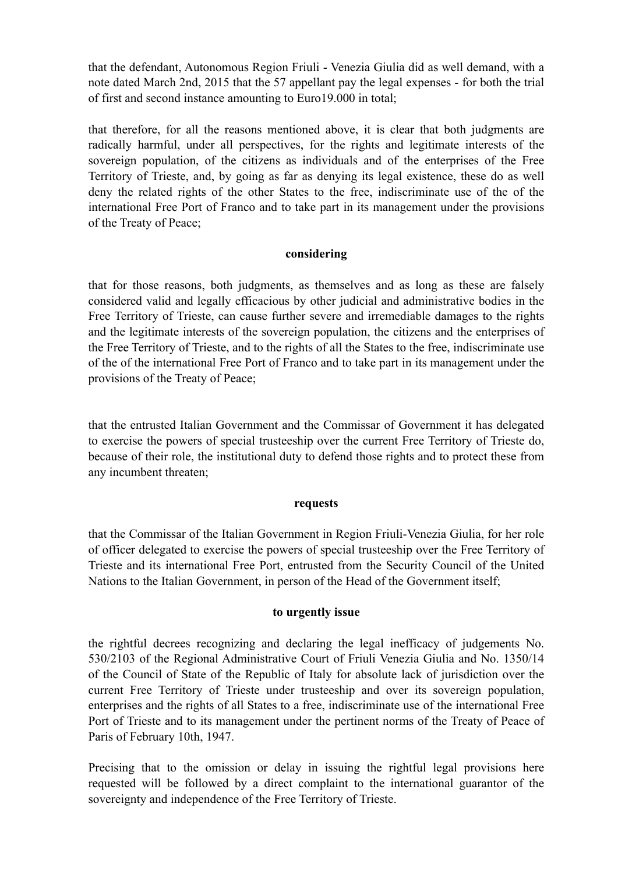that the defendant, Autonomous Region Friuli - Venezia Giulia did as well demand, with a note dated March 2nd, 2015 that the 57 appellant pay the legal expenses - for both the trial of first and second instance amounting to Euro19.000 in total;

that therefore, for all the reasons mentioned above, it is clear that both judgments are radically harmful, under all perspectives, for the rights and legitimate interests of the sovereign population, of the citizens as individuals and of the enterprises of the Free Territory of Trieste, and, by going as far as denying its legal existence, these do as well deny the related rights of the other States to the free, indiscriminate use of the of the international Free Port of Franco and to take part in its management under the provisions of the Treaty of Peace;

# **considering**

that for those reasons, both judgments, as themselves and as long as these are falsely considered valid and legally efficacious by other judicial and administrative bodies in the Free Territory of Trieste, can cause further severe and irremediable damages to the rights and the legitimate interests of the sovereign population, the citizens and the enterprises of the Free Territory of Trieste, and to the rights of all the States to the free, indiscriminate use of the of the international Free Port of Franco and to take part in its management under the provisions of the Treaty of Peace;

that the entrusted Italian Government and the Commissar of Government it has delegated to exercise the powers of special trusteeship over the current Free Territory of Trieste do, because of their role, the institutional duty to defend those rights and to protect these from any incumbent threaten;

## **requests**

that the Commissar of the Italian Government in Region Friuli-Venezia Giulia, for her role of officer delegated to exercise the powers of special trusteeship over the Free Territory of Trieste and its international Free Port, entrusted from the Security Council of the United Nations to the Italian Government, in person of the Head of the Government itself;

## **to urgently issue**

the rightful decrees recognizing and declaring the legal inefficacy of judgements No. 530/2103 of the Regional Administrative Court of Friuli Venezia Giulia and No. 1350/14 of the Council of State of the Republic of Italy for absolute lack of jurisdiction over the current Free Territory of Trieste under trusteeship and over its sovereign population, enterprises and the rights of all States to a free, indiscriminate use of the international Free Port of Trieste and to its management under the pertinent norms of the Treaty of Peace of Paris of February 10th, 1947.

Precising that to the omission or delay in issuing the rightful legal provisions here requested will be followed by a direct complaint to the international guarantor of the sovereignty and independence of the Free Territory of Trieste.